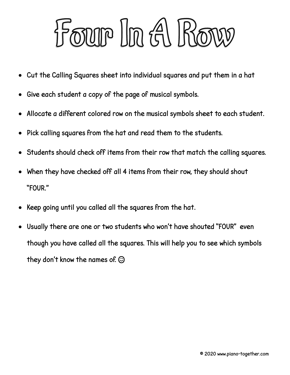

- Cut the Calling Squares sheet into individual squares and put them in a hat
- Give each student a copy of the page of musical symbols.
- Allocate a different colored row on the musical symbols sheet to each student.
- Pick calling squares from the hat and read them to the students.
- Students should check off items from their row that match the calling squares.
- When they have checked off all 4 items from their row, they should shout "FOUR."
- Keep going until you called all the squares from the hat.
- Usually there are one or two students who won't have shouted "FOUR" even though you have called all the squares. This will help you to see which symbols they don't know the names of.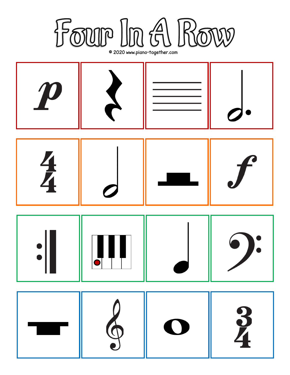

© 2020 www.piano-together.com